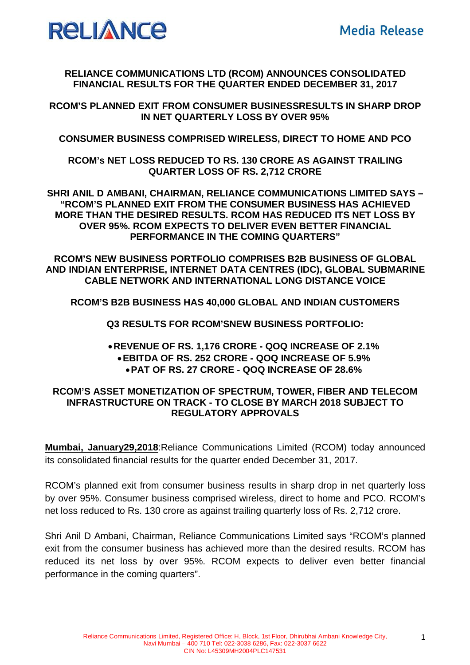

**RELIANCE COMMUNICATIONS LTD (RCOM) ANNOUNCES CONSOLIDATED FINANCIAL RESULTS FOR THE QUARTER ENDED DECEMBER 31, 2017**

**RCOM'S PLANNED EXIT FROM CONSUMER BUSINESSRESULTS IN SHARP DROP IN NET QUARTERLY LOSS BY OVER 95%**

**CONSUMER BUSINESS COMPRISED WIRELESS, DIRECT TO HOME AND PCO**

**RCOM's NET LOSS REDUCED TO RS. 130 CRORE AS AGAINST TRAILING QUARTER LOSS OF RS. 2,712 CRORE** 

**SHRI ANIL D AMBANI, CHAIRMAN, RELIANCE COMMUNICATIONS LIMITED SAYS – "RCOM'S PLANNED EXIT FROM THE CONSUMER BUSINESS HAS ACHIEVED MORE THAN THE DESIRED RESULTS. RCOM HAS REDUCED ITS NET LOSS BY OVER 95%. RCOM EXPECTS TO DELIVER EVEN BETTER FINANCIAL PERFORMANCE IN THE COMING QUARTERS"**

**RCOM'S NEW BUSINESS PORTFOLIO COMPRISES B2B BUSINESS OF GLOBAL AND INDIAN ENTERPRISE, INTERNET DATA CENTRES (IDC), GLOBAL SUBMARINE CABLE NETWORK AND INTERNATIONAL LONG DISTANCE VOICE**

**RCOM'S B2B BUSINESS HAS 40,000 GLOBAL AND INDIAN CUSTOMERS**

**Q3 RESULTS FOR RCOM'SNEW BUSINESS PORTFOLIO:**

## **REVENUE OF RS. 1,176 CRORE - QOQ INCREASE OF 2.1% EBITDA OF RS. 252 CRORE - QOQ INCREASE OF 5.9% PAT OF RS. 27 CRORE - QOQ INCREASE OF 28.6%**

## **RCOM'S ASSET MONETIZATION OF SPECTRUM, TOWER, FIBER AND TELECOM INFRASTRUCTURE ON TRACK - TO CLOSE BY MARCH 2018 SUBJECT TO REGULATORY APPROVALS**

**Mumbai, January29,2018**:Reliance Communications Limited (RCOM) today announced its consolidated financial results for the quarter ended December 31, 2017.

RCOM's planned exit from consumer business results in sharp drop in net quarterly loss by over 95%. Consumer business comprised wireless, direct to home and PCO. RCOM's net loss reduced to Rs. 130 crore as against trailing quarterly loss of Rs. 2,712 crore.

Shri Anil D Ambani, Chairman, Reliance Communications Limited says "RCOM's planned exit from the consumer business has achieved more than the desired results. RCOM has reduced its net loss by over 95%. RCOM expects to deliver even better financial performance in the coming quarters".